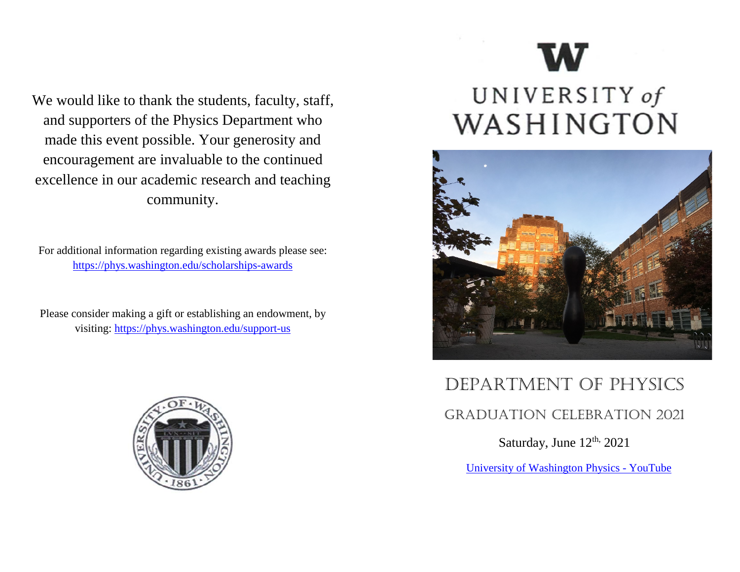We would like to thank the students, faculty, staff, and supporters of the Physics Department who made this event possible. Your generosity and encouragement are invaluable to the continued excellence in our academic research and teaching community.

For additional information regarding existing awards please see: <https://phys.washington.edu/scholarships-awards>

Please consider making a gift or establishing an endowment, by visiting:<https://phys.washington.edu/support-us>



# UNIVERSITY of WASHINGTON



## Department of physics Graduation celebration 2021

Saturday, June 12<sup>th,</sup> 2021

[University of Washington Physics -](https://www.youtube.com/watch?v=tcjBy56XHlk) YouTube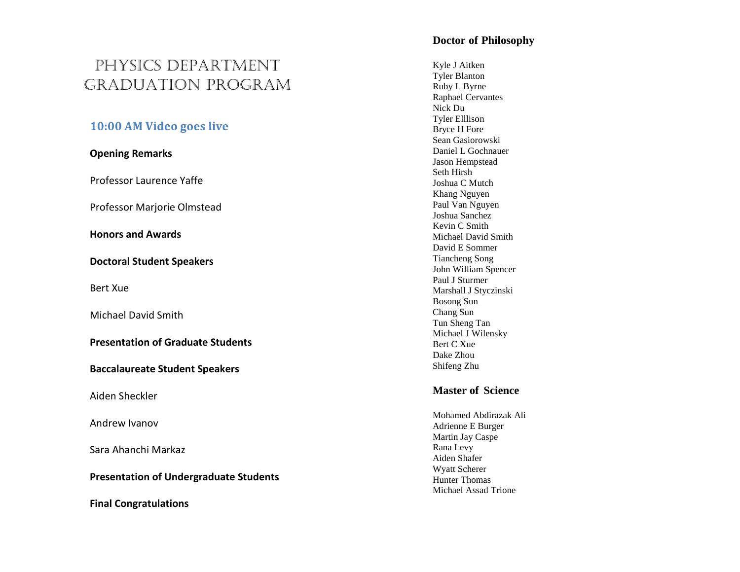### physics Department GraDuation pro gram

#### **10:00 AM Video goes live**

#### **Opening Remarks**

Professor Laurence Yaffe

Professor Marjorie Olmstead

**Honors and Awards**

**Doctoral Student Speakers**

Bert Xue

Michael David Smith

**Presentation of Graduate Students** 

**Baccalaureate Student Speakers**

Aiden Sheckler

Andrew Ivanov

Sara Ahanchi Markaz

**Presentation of Undergraduate Students**

**Final Congratulations**

#### **Doctor of Philosophy**

Kyle J Aitken Tyler Blanton Ruby L Byrne Raphael Cervantes Nick Du Tyler Elllison Bryce H Fore Sean Gasiorowski Daniel L Gochnauer Jason Hempstead Seth Hirsh Joshua C Mutch Khang Nguyen Paul Van Nguyen Joshua Sanchez Kevin C Smith Michael David Smith David E Sommer Tiancheng Song John William Spencer Paul J Sturmer Marshall J Styczinski Bosong Sun Chang Sun Tun Sheng Tan Michael J Wilensky Bert C Xue Dake Zhou Shifeng Zhu

#### **Master of Science**

Mohamed Abdirazak Ali Adrienne E Burger Martin Jay Caspe Rana Levy Aiden Shafer Wyatt Scherer Hunter Thomas Michael Assad Trione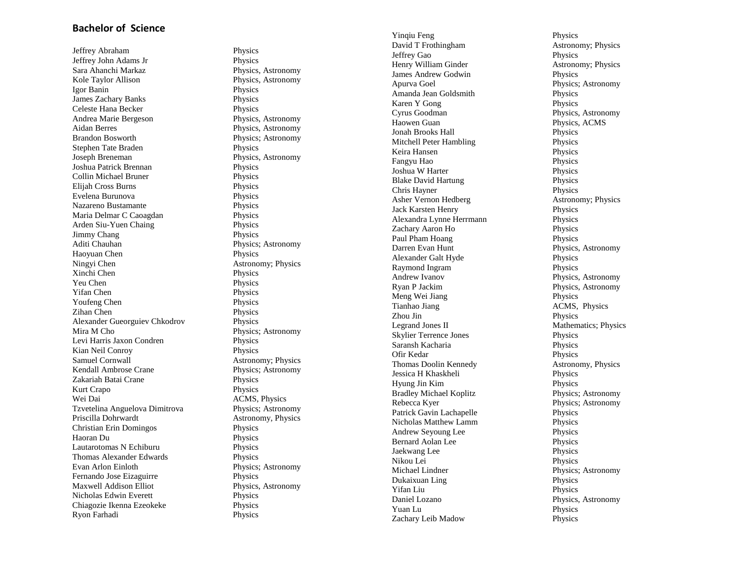#### **Bachelor of Science**

Jeffrey Abraham Physics Jeffrey John Adams Jr Physics Sara Ahanchi Markaz Physics, Astronomy Kole Taylor Allison Physics, Astronomy Igor Banin Physics James Zachary Banks Physics Celeste Hana Becker<br>
Andrea Marie Bergeson<br>
Physics, Astronomy Andrea Marie Bergeson Aidan Berres Physics, Astronomy Brandon Bosworth Physics; Astronomy Stephen Tate Braden Physics Joseph Breneman Physics, Astronomy Joshua Patrick Brennan Physics Collin Michael Bruner Elijah Cross Burns Physics Evelena Burunova Physics Nazareno Bustamante Physics Maria Delmar C Caoagdan Physics Arden Siu -Yuen Chaing Physics Jimmy Chang Physics Aditi Chauhan Physics; Astronomy Haoyuan Chen Physics Ningyi Chen Astronomy; Physics Xinchi Chen Physics Yeu Chen Physics Yifan Chen Physics Youfeng Chen Physics Zihan Chen Physics Alexander Gueorguiev Chkodrov Physics Mira M Cho Physics; Astronomy Levi Harris Jaxon Condren Physics Kian Neil Conroy Physics Samuel Cornwall<br>
Kendall Ambrose Crane<br>
Physics: Astronomy Zakariah Batai Crane Physics Kurt Crapo Physics Wei Dai **ACMS**, Physics Tzvetelina Anguelova Dimitrova Physics; Astronomy Priscilla Dohrwardt Astronomy, Physics Christian Erin Domingos Physics Haoran Du Physics Lautarotomas N Echiburu Physics Thomas Alexander Edwards Physics Evan Arlon Einloth Physics; Astronomy Fernando Jose Eizaguirre Physics Maxwell Addison Elliot Physics, Astronomy Nicholas Edwin Everett Physics Chiagozie Ikenna Ezeokeke Physics Ryon Farhadi

Physics; Astronomy Physics

Yinqiu Feng Physics David T Frothingham Astronomy; Physics Jeffrey Gao Physics Henry William Ginder **Astronomy**; Physics James Andrew Godwin Physics Apurva Goel Physics; Astronomy Amanda Jean Goldsmith Physics Karen Y Gong Physics Cyrus Goodman Physics, Astronomy Haowen Guan Physics, ACMS Jonah Brooks Hall Physics Mitchell Peter Hambling Physics Keira Hansen Physics Fangyu Hao Physics Joshua W Harter Physics Blake David Hartung Physics Chris Hayner Physics Asher Vernon Hedberg **Astronomy; Physics**<br>
Jack Karsten Henry **Physics**<br>
Physics Jack Karsten Henry Alexandra Lynne Herrmann Physics Zachary Aaron Ho Physics Paul Pham Hoang Physics Darren Evan Hunt Physics, Astronomy Alexander Galt Hyde Physics Raymond Ingram Physics Andrew Ivanov Physics, Astronomy Meng Wei Jiang Physics Tianhao Jiang ACMS, Physics Zhou Jin Physics Legrand Jones II Mathematics; Physics Skylier Terrence Jones Physics<br>
Saransh Kacharia Physics<br>
Physics Saransh Kacharia Ofir Kedar Physics Thomas Doolin Kennedy Astronomy, Physics Jessica H Khaskheli Physics Hyung Jin Kim Physics Bradley Michael Koplitz Physics; Astronomy Rebecca Kyer Physics; Astronomy Patrick Gavin Lachapelle Physics Nicholas Matthew Lamm Physics Andrew Seyoung Lee Physics Bernard Aolan Lee Physics Jaekwang Lee Physics Nikou Lei Physics Michael Lindner Physics; Astronomy Dukaixuan Ling Physics Yifan Liu Physics<br>
Daniel L*oza*no Physics<br>
Physics Yuan Lu Physics Zachary Leib Madow Physics

Physics, Astronomy Physics, Astronomy